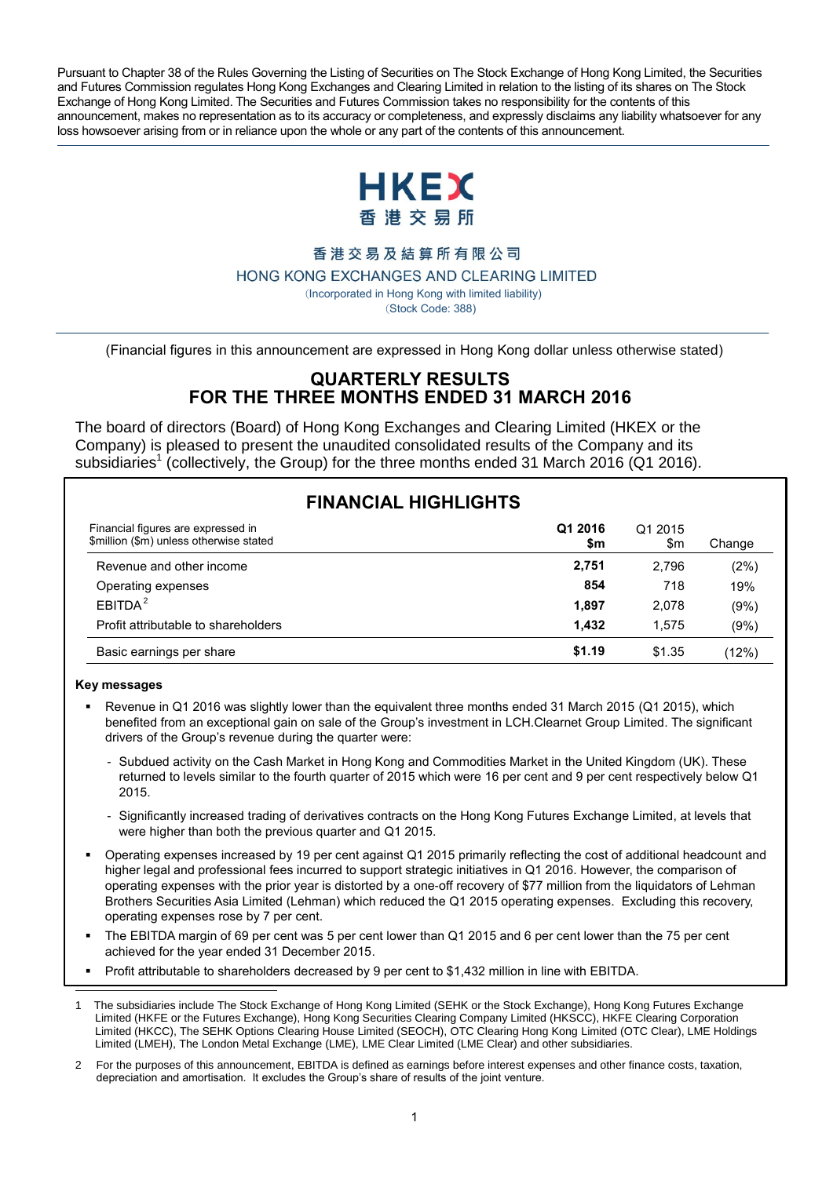Pursuant to Chapter 38 of the Rules Governing the Listing of Securities on The Stock Exchange of Hong Kong Limited, the Securities and Futures Commission regulates Hong Kong Exchanges and Clearing Limited in relation to the listing of its shares on The Stock Exchange of Hong Kong Limited. The Securities and Futures Commission takes no responsibility for the contents of this announcement, makes no representation as to its accuracy or completeness, and expressly disclaims any liability whatsoever for any loss howsoever arising from or in reliance upon the whole or any part of the contents of this announcement.



#### 香港交易及結算所有限公司

HONG KONG EXCHANGES AND CLEARING LIMITED

 (Incorporated in Hong Kong with limited liability) (Stock Code: 388)

(Financial figures in this announcement are expressed in Hong Kong dollar unless otherwise stated)

#### **QUARTERLY RESULTS FOR THE THREE MONTHS ENDED 31 MARCH 2016**

The board of directors (Board) of Hong Kong Exchanges and Clearing Limited (HKEX or the Company) is pleased to present the unaudited consolidated results of the Company and its subsidiaries<sup>1</sup> (collectively, the Group) for the three months ended 31 March 2016 (Q1 2016).

| <b>FINANCIAL HIGHLIGHTS</b>                                                   |                |                |        |
|-------------------------------------------------------------------------------|----------------|----------------|--------|
| Financial figures are expressed in<br>\$million (\$m) unless otherwise stated | Q1 2016<br>\$m | Q1 2015<br>\$m | Change |
| Revenue and other income                                                      | 2,751          | 2.796          | (2%)   |
| Operating expenses                                                            | 854            | 718            | 19%    |
| EBITDA <sup>2</sup>                                                           | 1.897          | 2.078          | (9%)   |
| Profit attributable to shareholders                                           | 1.432          | 1.575          | (9%)   |
| Basic earnings per share                                                      | \$1.19         | \$1.35         | (12%)  |

#### **Key messages**

- Revenue in Q1 2016 was slightly lower than the equivalent three months ended 31 March 2015 (Q1 2015), which benefited from an exceptional gain on sale of the Group's investment in LCH.Clearnet Group Limited. The significant drivers of the Group's revenue during the quarter were:
	- Subdued activity on the Cash Market in Hong Kong and Commodities Market in the United Kingdom (UK). These returned to levels similar to the fourth quarter of 2015 which were 16 per cent and 9 per cent respectively below Q1 2015.
	- Significantly increased trading of derivatives contracts on the Hong Kong Futures Exchange Limited, at levels that were higher than both the previous quarter and Q1 2015.
- Operating expenses increased by 19 per cent against Q1 2015 primarily reflecting the cost of additional headcount and higher legal and professional fees incurred to support strategic initiatives in Q1 2016. However, the comparison of operating expenses with the prior year is distorted by a one-off recovery of \$77 million from the liquidators of Lehman Brothers Securities Asia Limited (Lehman) which reduced the Q1 2015 operating expenses. Excluding this recovery, operating expenses rose by 7 per cent.
- The EBITDA margin of 69 per cent was 5 per cent lower than Q1 2015 and 6 per cent lower than the 75 per cent achieved for the year ended 31 December 2015.
- Profit attributable to shareholders decreased by 9 per cent to \$1,432 million in line with EBITDA.
- ֖֖֖֖֖֖֖֖֖֪֪֪֦֖֚֚֚֚֚֚֚֚֚֚֬֝֝֓֬֝֓֬֝֬֝֓֬֝֓֬֝֓֬֝֓ 1 The subsidiaries include The Stock Exchange of Hong Kong Limited (SEHK or the Stock Exchange), Hong Kong Futures Exchange Limited (HKFE or the Futures Exchange), Hong Kong Securities Clearing Company Limited (HKSCC), HKFE Clearing Corporation Limited (HKCC), The SEHK Options Clearing House Limited (SEOCH), OTC Clearing Hong Kong Limited (OTC Clear), LME Holdings Limited (LMEH), The London Metal Exchange (LME), LME Clear Limited (LME Clear) and other subsidiaries.
- 2 For the purposes of this announcement, EBITDA is defined as earnings before interest expenses and other finance costs, taxation, depreciation and amortisation. It excludes the Group's share of results of the joint venture.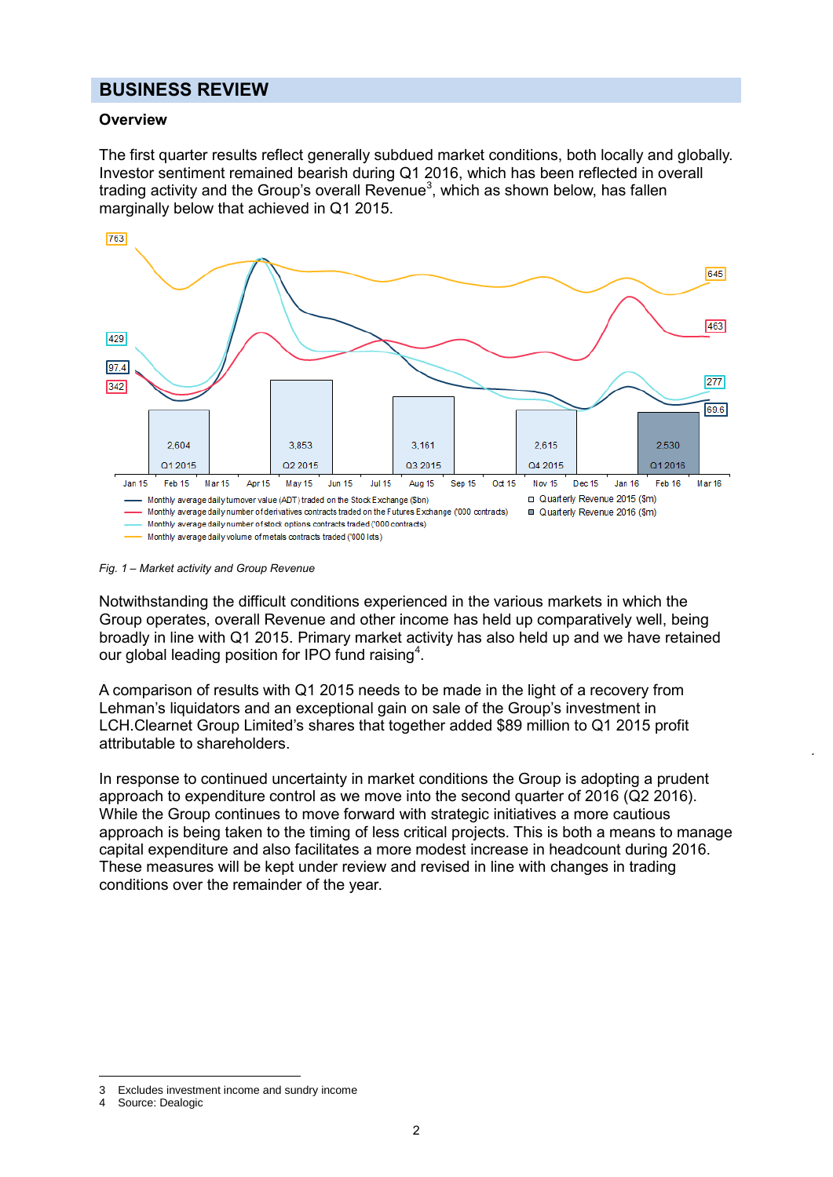#### **BUSINESS REVIEW**

#### **Overview**

The first quarter results reflect generally subdued market conditions, both locally and globally. Investor sentiment remained bearish during Q1 2016, which has been reflected in overall trading activity and the Group's overall Revenue<sup>3</sup>, which as shown below, has fallen marginally below that achieved in Q1 2015.



#### *Fig. 1 – Market activity and Group Revenue*

Notwithstanding the difficult conditions experienced in the various markets in which the Group operates, overall Revenue and other income has held up comparatively well, being broadly in line with Q1 2015. Primary market activity has also held up and we have retained our global leading position for IPO fund raising<sup>4</sup>.

A comparison of results with Q1 2015 needs to be made in the light of a recovery from Lehman's liquidators and an exceptional gain on sale of the Group's investment in LCH.Clearnet Group Limited's shares that together added \$89 million to Q1 2015 profit attributable to shareholders.

In response to continued uncertainty in market conditions the Group is adopting a prudent approach to expenditure control as we move into the second quarter of 2016 (Q2 2016). While the Group continues to move forward with strategic initiatives a more cautious approach is being taken to the timing of less critical projects. This is both a means to manage capital expenditure and also facilitates a more modest increase in headcount during 2016. These measures will be kept under review and revised in line with changes in trading conditions over the remainder of the year.

 $\overline{a}$ 

<sup>3</sup> Excludes investment income and sundry income<br>4 Source: Dealogic

Source: Dealogic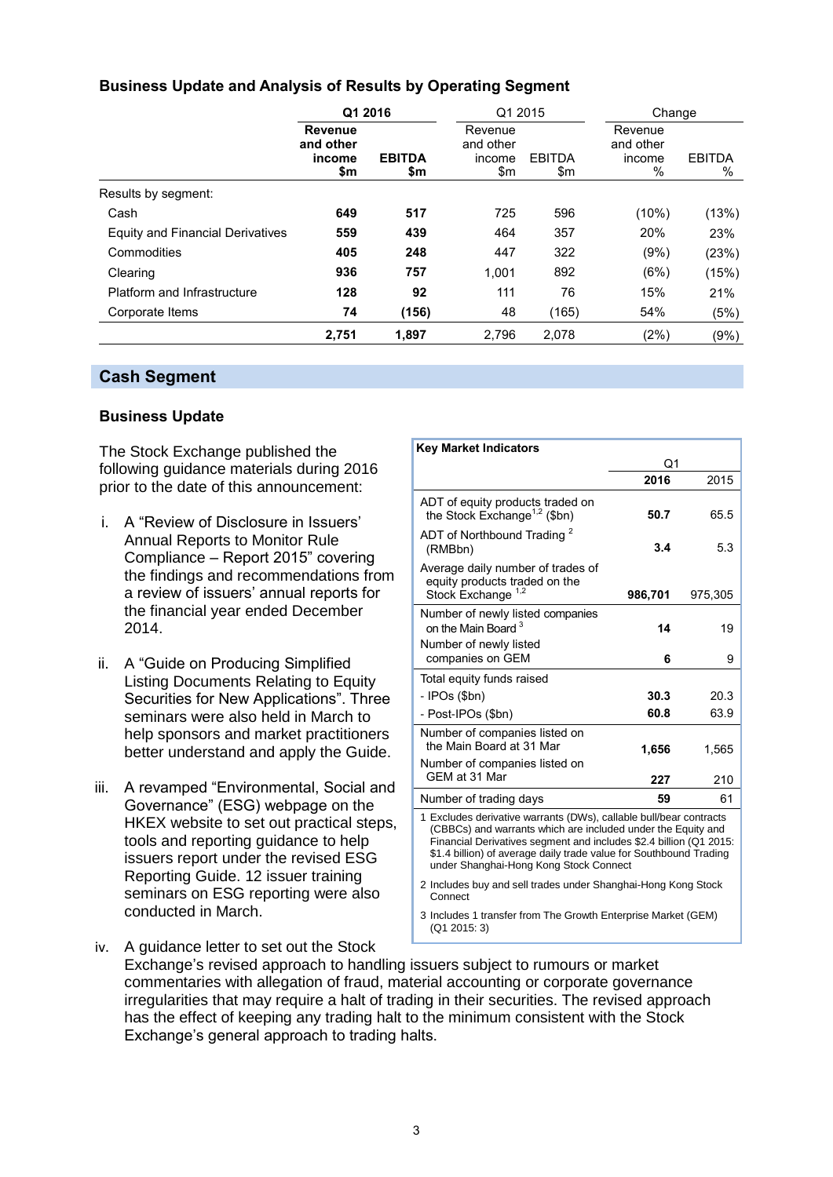#### **Business Update and Analysis of Results by Operating Segment**

|                                  | Q1 2016                               |                      | Q1 2015                               |                      |                                        | Change             |  |
|----------------------------------|---------------------------------------|----------------------|---------------------------------------|----------------------|----------------------------------------|--------------------|--|
|                                  | Revenue<br>and other<br>income<br>\$m | <b>EBITDA</b><br>\$m | Revenue<br>and other<br>income<br>\$m | <b>EBITDA</b><br>\$m | Revenue<br>and other<br>income<br>$\%$ | <b>EBITDA</b><br>% |  |
| Results by segment:              |                                       |                      |                                       |                      |                                        |                    |  |
| Cash                             | 649                                   | 517                  | 725                                   | 596                  | (10%)                                  | (13%)              |  |
| Equity and Financial Derivatives | 559                                   | 439                  | 464                                   | 357                  | 20%                                    | 23%                |  |
| Commodities                      | 405                                   | 248                  | 447                                   | 322                  | (9%)                                   | (23%)              |  |
| Clearing                         | 936                                   | 757                  | 1,001                                 | 892                  | (6%)                                   | (15%)              |  |
| Platform and Infrastructure      | 128                                   | 92                   | 111                                   | 76                   | 15%                                    | 21%                |  |
| Corporate Items                  | 74                                    | (156)                | 48                                    | (165)                | 54%                                    | (5%)               |  |
|                                  | 2,751                                 | 1.897                | 2,796                                 | 2,078                | (2%)                                   | $(9\%)$            |  |

#### **Cash Segment**

#### **Business Update**

The Stock Exchange published the following guidance materials during 2016 prior to the date of this announcement:

- i. A "Review of Disclosure in Issuers' Annual Reports to Monitor Rule Compliance – Report 2015" covering the findings and recommendations from a review of issuers' annual reports for the financial year ended December 2014.
- ii. A "Guide on Producing Simplified Listing Documents Relating to Equity Securities for New Applications". Three seminars were also held in March to help sponsors and market practitioners better understand and apply the Guide.
- iii. A revamped "Environmental, Social and Governance" (ESG) webpage on the HKEX website to set out practical steps, tools and reporting guidance to help issuers report under the revised ESG Reporting Guide. 12 issuer training seminars on ESG reporting were also conducted in March.

| <b>Key Market Indicators</b>                                                                                                                                                                                                                                                                                                                                                              |         |         |  |
|-------------------------------------------------------------------------------------------------------------------------------------------------------------------------------------------------------------------------------------------------------------------------------------------------------------------------------------------------------------------------------------------|---------|---------|--|
|                                                                                                                                                                                                                                                                                                                                                                                           | Q1      |         |  |
|                                                                                                                                                                                                                                                                                                                                                                                           | 2016    | 2015    |  |
| ADT of equity products traded on<br>the Stock Exchange <sup>1,2</sup> (\$bn)                                                                                                                                                                                                                                                                                                              | 50.7    | 65.5    |  |
| ADT of Northbound Trading <sup>2</sup><br>(RMBbn)                                                                                                                                                                                                                                                                                                                                         | 3.4     | 5.3     |  |
| Average daily number of trades of<br>equity products traded on the<br>Stock Exchange <sup>1,2</sup>                                                                                                                                                                                                                                                                                       | 986,701 | 975,305 |  |
| Number of newly listed companies<br>on the Main Board <sup>3</sup>                                                                                                                                                                                                                                                                                                                        | 14      | 19      |  |
| Number of newly listed<br>companies on GEM                                                                                                                                                                                                                                                                                                                                                | 6       | 9       |  |
| Total equity funds raised                                                                                                                                                                                                                                                                                                                                                                 |         |         |  |
| - IPOs (\$bn)                                                                                                                                                                                                                                                                                                                                                                             | 30.3    | 20.3    |  |
| - Post-IPOs (\$bn)                                                                                                                                                                                                                                                                                                                                                                        | 60.8    | 63.9    |  |
| Number of companies listed on<br>the Main Board at 31 Mar                                                                                                                                                                                                                                                                                                                                 | 1,656   | 1,565   |  |
| Number of companies listed on<br>GEM at 31 Mar                                                                                                                                                                                                                                                                                                                                            | 227     | 210     |  |
| Number of trading days                                                                                                                                                                                                                                                                                                                                                                    | 59      | 61      |  |
| 1 Excludes derivative warrants (DWs), callable bull/bear contracts<br>(CBBCs) and warrants which are included under the Equity and<br>Financial Derivatives segment and includes \$2.4 billion (Q1 2015:<br>\$1.4 billion) of average daily trade value for Southbound Trading<br>under Shanghai-Hong Kong Stock Connect<br>2 Includes buy and sell trades under Shanghai-Hong Kong Stock |         |         |  |
| Connect                                                                                                                                                                                                                                                                                                                                                                                   |         |         |  |

3 Includes 1 transfer from The Growth Enterprise Market (GEM) (Q1 2015: 3)

iv. A guidance letter to set out the Stock Exchange's revised approach to handling issuers subject to rumours or market commentaries with allegation of fraud, material accounting or corporate governance irregularities that may require a halt of trading in their securities. The revised approach has the effect of keeping any trading halt to the minimum consistent with the Stock Exchange's general approach to trading halts.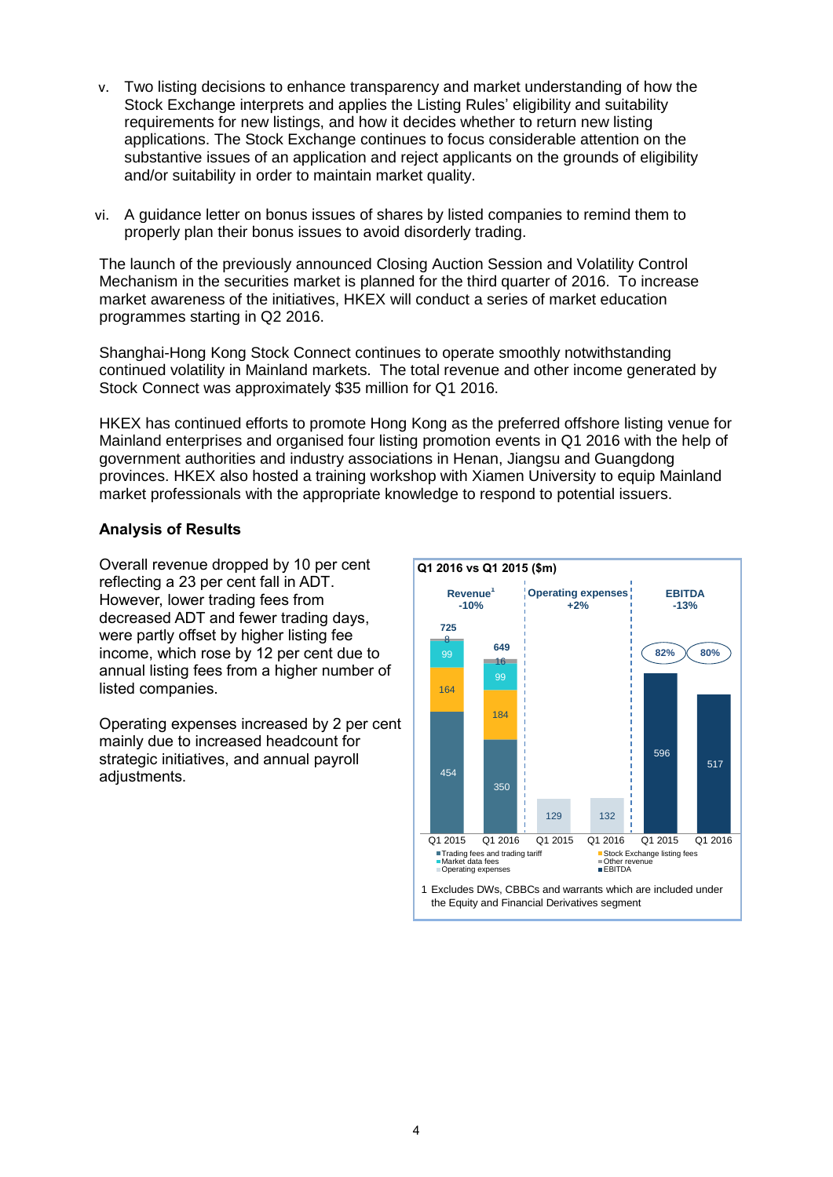- v. Two listing decisions to enhance transparency and market understanding of how the Stock Exchange interprets and applies the Listing Rules' eligibility and suitability requirements for new listings, and how it decides whether to return new listing applications. The Stock Exchange continues to focus considerable attention on the substantive issues of an application and reject applicants on the grounds of eligibility and/or suitability in order to maintain market quality.
- vi. A guidance letter on bonus issues of shares by listed companies to remind them to properly plan their bonus issues to avoid disorderly trading.

The launch of the previously announced Closing Auction Session and Volatility Control Mechanism in the securities market is planned for the third quarter of 2016. To increase market awareness of the initiatives, HKEX will conduct a series of market education programmes starting in Q2 2016.

Shanghai-Hong Kong Stock Connect continues to operate smoothly notwithstanding continued volatility in Mainland markets. The total revenue and other income generated by Stock Connect was approximately \$35 million for Q1 2016.

HKEX has continued efforts to promote Hong Kong as the preferred offshore listing venue for Mainland enterprises and organised four listing promotion events in Q1 2016 with the help of government authorities and industry associations in Henan, Jiangsu and Guangdong provinces. HKEX also hosted a training workshop with Xiamen University to equip Mainland market professionals with the appropriate knowledge to respond to potential issuers.

#### **Analysis of Results**

Overall revenue dropped by 10 per cent reflecting a 23 per cent fall in ADT. However, lower trading fees from decreased ADT and fewer trading days, were partly offset by higher listing fee income, which rose by 12 per cent due to annual listing fees from a higher number of listed companies.

Operating expenses increased by 2 per cent mainly due to increased headcount for strategic initiatives, and annual payroll adiustments.

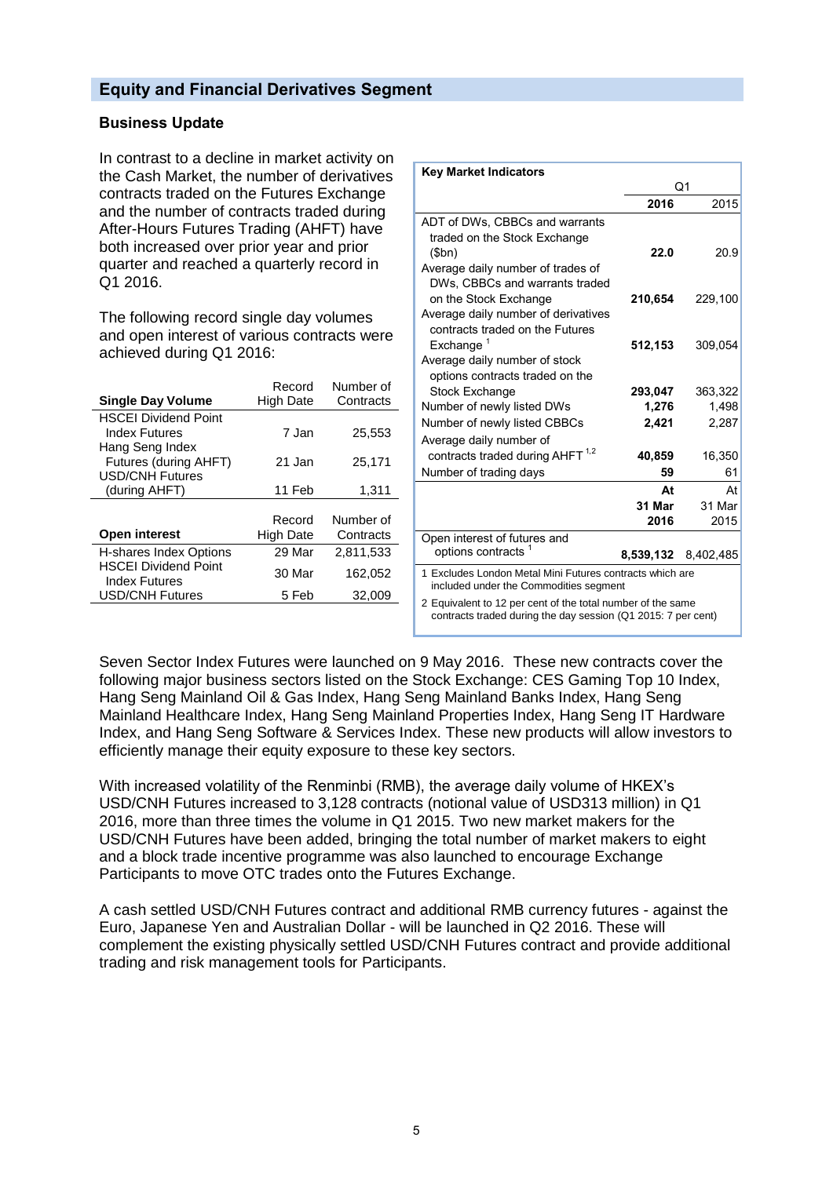#### **Equity and Financial Derivatives Segment**

#### **Business Update**

In contrast to a decline in market activity on the Cash Market, the number of derivatives contracts traded on the Futures Exchange and the number of contracts traded during After-Hours Futures Trading (AHFT) have both increased over prior year and prior quarter and reached a quarterly record in Q1 2016.

The following record single day volumes and open interest of various contracts were achieved during Q1 2016:

|                                                     | Record           | Number of |
|-----------------------------------------------------|------------------|-----------|
| <b>Single Day Volume</b>                            | <b>High Date</b> | Contracts |
| <b>HSCEI Dividend Point</b>                         |                  |           |
| Index Futures                                       | 7 Jan            | 25,553    |
| Hang Seng Index                                     |                  |           |
| Futures (during AHFT)                               | 21 Jan           | 25,171    |
| <b>USD/CNH Futures</b>                              |                  |           |
| (during AHFT)                                       | 11 Feb           | 1,311     |
|                                                     |                  |           |
|                                                     | Record           | Number of |
| <b>Open interest</b>                                | <b>High Date</b> | Contracts |
| <b>H-shares Index Options</b>                       | 29 Mar           | 2,811,533 |
| <b>HSCEI Dividend Point</b><br><b>Index Futures</b> | 30 Mar           | 162,052   |
| <b>USD/CNH Futures</b>                              | 5 Feb            | 32,009    |
|                                                     |                  |           |

| <b>Key Market Indicators</b>                                                                                                 |           |           |  |  |
|------------------------------------------------------------------------------------------------------------------------------|-----------|-----------|--|--|
|                                                                                                                              |           | Q1        |  |  |
|                                                                                                                              | 2016      | 2015      |  |  |
| ADT of DWs, CBBCs and warrants<br>traded on the Stock Exchange<br>\$bn)                                                      | 22.0      | 20.9      |  |  |
| Average daily number of trades of<br>DWs, CBBCs and warrants traded                                                          |           |           |  |  |
| on the Stock Exchange<br>Average daily number of derivatives<br>contracts traded on the Futures                              | 210,654   | 229,100   |  |  |
| Exchange <sup>1</sup><br>Average daily number of stock<br>options contracts traded on the                                    | 512,153   | 309,054   |  |  |
| <b>Stock Exchange</b>                                                                                                        | 293,047   | 363,322   |  |  |
| Number of newly listed DWs                                                                                                   | 1,276     | 1,498     |  |  |
| Number of newly listed CBBCs                                                                                                 | 2,421     | 2,287     |  |  |
| Average daily number of                                                                                                      |           |           |  |  |
| contracts traded during AHFT <sup>1,2</sup>                                                                                  | 40,859    | 16,350    |  |  |
| Number of trading days                                                                                                       | 59        | 61        |  |  |
|                                                                                                                              | At        | At        |  |  |
|                                                                                                                              | 31 Mar    | 31 Mar    |  |  |
|                                                                                                                              | 2016      | 2015      |  |  |
| Open interest of futures and                                                                                                 |           |           |  |  |
| options contracts <sup>1</sup>                                                                                               | 8,539,132 | 8,402,485 |  |  |
| 1 Excludes London Metal Mini Futures contracts which are<br>included under the Commodities segment                           |           |           |  |  |
| 2 Equivalent to 12 per cent of the total number of the same<br>contracts traded during the day session (Q1 2015: 7 per cent) |           |           |  |  |

Seven Sector Index Futures were launched on 9 May 2016. These new contracts cover the following major business sectors listed on the Stock Exchange: CES Gaming Top 10 Index, Hang Seng Mainland Oil & Gas Index, Hang Seng Mainland Banks Index, Hang Seng Mainland Healthcare Index, Hang Seng Mainland Properties Index, Hang Seng IT Hardware Index, and Hang Seng Software & Services Index. These new products will allow investors to efficiently manage their equity exposure to these key sectors.

With increased volatility of the Renminbi (RMB), the average daily volume of HKEX's USD/CNH Futures increased to 3,128 contracts (notional value of USD313 million) in Q1 2016, more than three times the volume in Q1 2015. Two new market makers for the USD/CNH Futures have been added, bringing the total number of market makers to eight and a block trade incentive programme was also launched to encourage Exchange Participants to move OTC trades onto the Futures Exchange.

A cash settled USD/CNH Futures contract and additional RMB currency futures - against the Euro, Japanese Yen and Australian Dollar - will be launched in Q2 2016. These will complement the existing physically settled USD/CNH Futures contract and provide additional trading and risk management tools for Participants.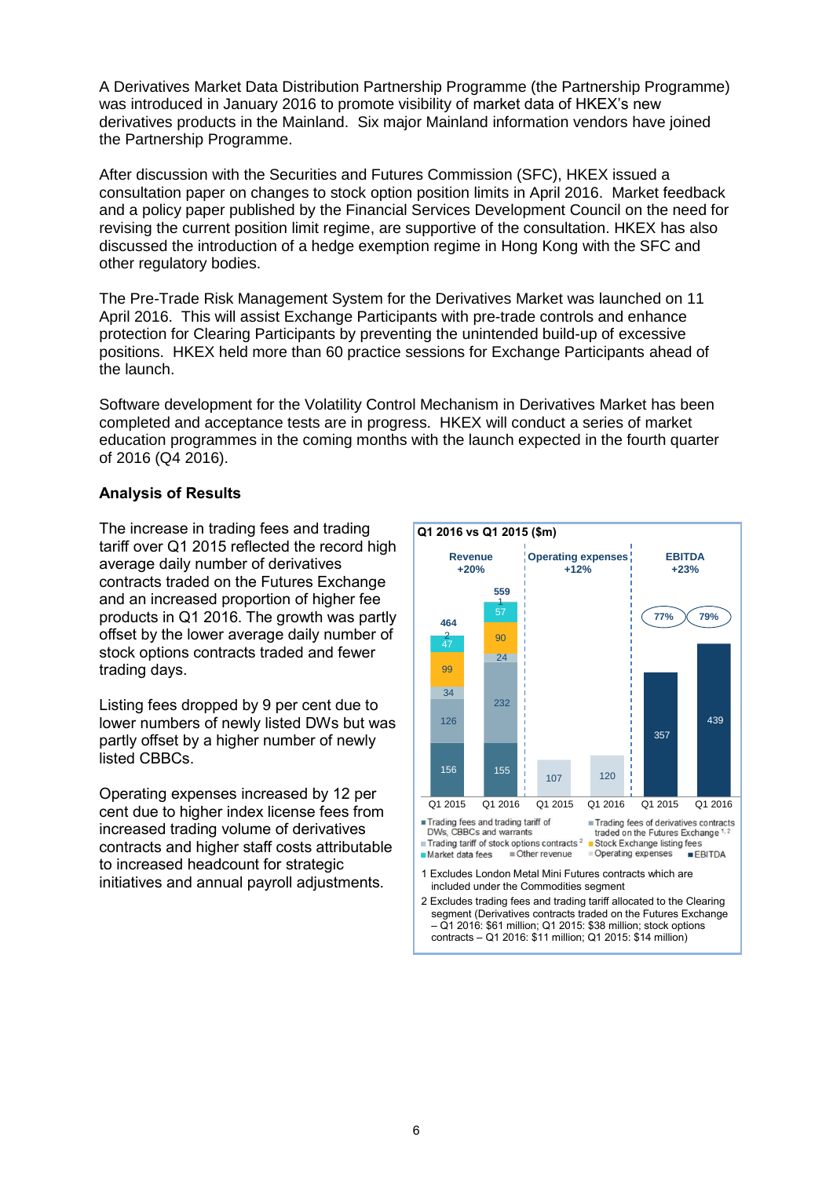A Derivatives Market Data Distribution Partnership Programme (the Partnership Programme) was introduced in January 2016 to promote visibility of market data of HKEX's new derivatives products in the Mainland. Six major Mainland information vendors have joined the Partnership Programme.

After discussion with the Securities and Futures Commission (SFC), HKEX issued a consultation paper on changes to stock option position limits in April 2016. Market feedback and a policy paper published by the Financial Services Development Council on the need for revising the current position limit regime, are supportive of the consultation. HKEX has also discussed the introduction of a hedge exemption regime in Hong Kong with the SFC and other regulatory bodies.

The Pre-Trade Risk Management System for the Derivatives Market was launched on 11 April 2016. This will assist Exchange Participants with pre-trade controls and enhance protection for Clearing Participants by preventing the unintended build-up of excessive positions. HKEX held more than 60 practice sessions for Exchange Participants ahead of the launch.

Software development for the Volatility Control Mechanism in Derivatives Market has been completed and acceptance tests are in progress. HKEX will conduct a series of market education programmes in the coming months with the launch expected in the fourth quarter of 2016 (Q4 2016).

#### **Analysis of Results**

The increase in trading fees and trading tariff over Q1 2015 reflected the record high average daily number of derivatives contracts traded on the Futures Exchange and an increased proportion of higher fee products in Q1 2016. The growth was partly offset by the lower average daily number of stock options contracts traded and fewer trading days.

Listing fees dropped by 9 per cent due to lower numbers of newly listed DWs but was partly offset by a higher number of newly listed CBBCs.

Operating expenses increased by 12 per cent due to higher index license fees from increased trading volume of derivatives contracts and higher staff costs attributable to increased headcount for strategic initiatives and annual payroll adjustments.

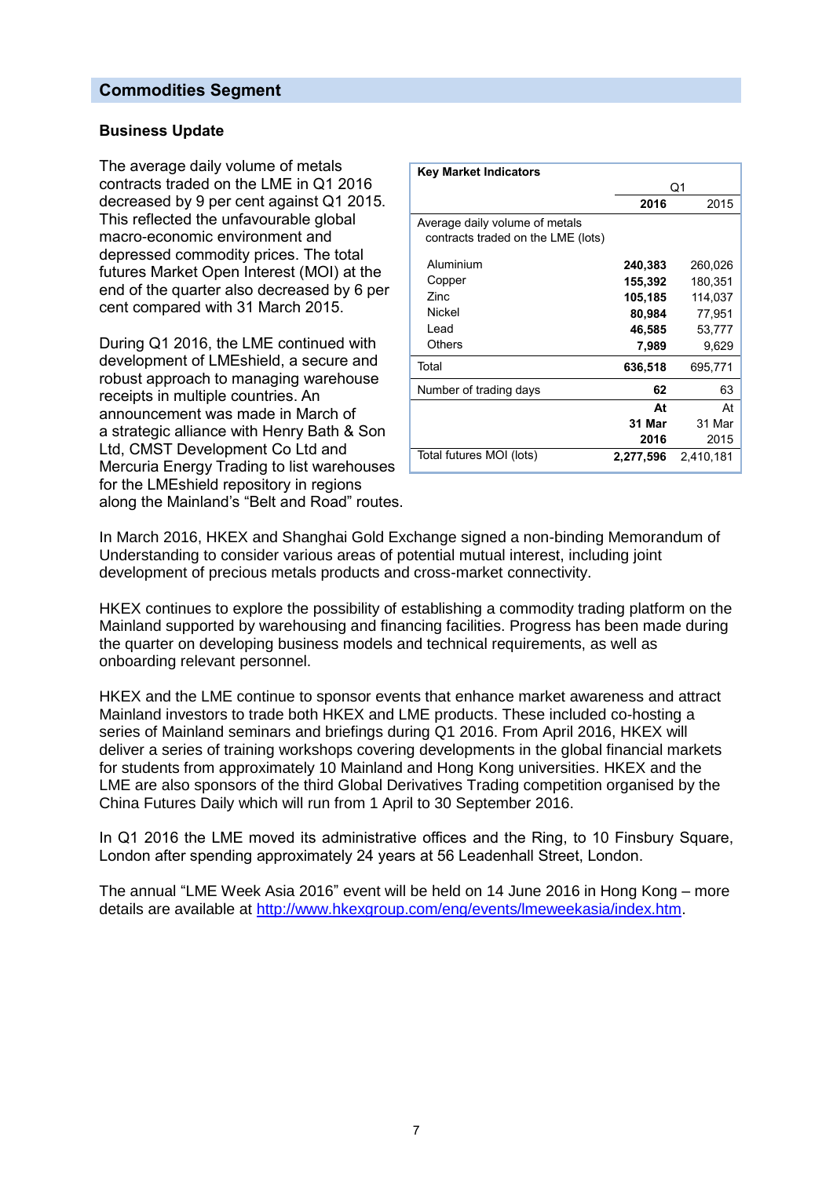#### **Commodities Segment**

#### **Business Update**

The average daily volume of metals contracts traded on the LME in Q1 2016 decreased by 9 per cent against Q1 2015. This reflected the unfavourable global macro-economic environment and depressed commodity prices. The total futures Market Open Interest (MOI) at the end of the quarter also decreased by 6 per cent compared with 31 March 2015.

During Q1 2016, the LME continued with development of LMEshield, a secure and robust approach to managing warehouse receipts in multiple countries. An announcement was made in March of a strategic alliance with Henry Bath & Son Ltd, CMST Development Co Ltd and Mercuria Energy Trading to list warehouses for the LMEshield repository in regions along the Mainland's "Belt and Road" routes.

| <b>Key Market Indicators</b>                                         |           |           |
|----------------------------------------------------------------------|-----------|-----------|
|                                                                      |           | Q1        |
|                                                                      | 2016      | 2015      |
| Average daily volume of metals<br>contracts traded on the LME (lots) |           |           |
| Aluminium                                                            | 240,383   | 260,026   |
| Copper                                                               | 155,392   | 180,351   |
| Zinc.                                                                | 105,185   | 114,037   |
| Nickel                                                               | 80,984    | 77,951    |
| Lead                                                                 | 46,585    | 53,777    |
| Others                                                               | 7,989     | 9,629     |
| Total                                                                | 636,518   | 695,771   |
| Number of trading days                                               | 62        | 63        |
|                                                                      | At        | At        |
|                                                                      | 31 Mar    | 31 Mar    |
|                                                                      | 2016      | 2015      |
| Total futures MOI (lots)                                             | 2,277,596 | 2,410,181 |

In March 2016, HKEX and Shanghai Gold Exchange signed a non-binding Memorandum of Understanding to consider various areas of potential mutual interest, including joint development of precious metals products and cross-market connectivity.

HKEX continues to explore the possibility of establishing a commodity trading platform on the Mainland supported by warehousing and financing facilities. Progress has been made during the quarter on developing business models and technical requirements, as well as onboarding relevant personnel.

HKEX and the LME continue to sponsor events that enhance market awareness and attract Mainland investors to trade both HKEX and LME products. These included co-hosting a series of Mainland seminars and briefings during Q1 2016. From April 2016, HKEX will deliver a series of training workshops covering developments in the global financial markets for students from approximately 10 Mainland and Hong Kong universities. HKEX and the LME are also sponsors of the third Global Derivatives Trading competition organised by the China Futures Daily which will run from 1 April to 30 September 2016.

In Q1 2016 the LME moved its administrative offices and the Ring, to 10 Finsbury Square, London after spending approximately 24 years at 56 Leadenhall Street, London.

The annual "LME Week Asia 2016" event will be held on 14 June 2016 in Hong Kong – more details are available at [http://www.hkexgroup.com/eng/events/lmeweekasia/index.htm.](http://www.hkexgroup.com/eng/events/lmeweekasia/index.htm)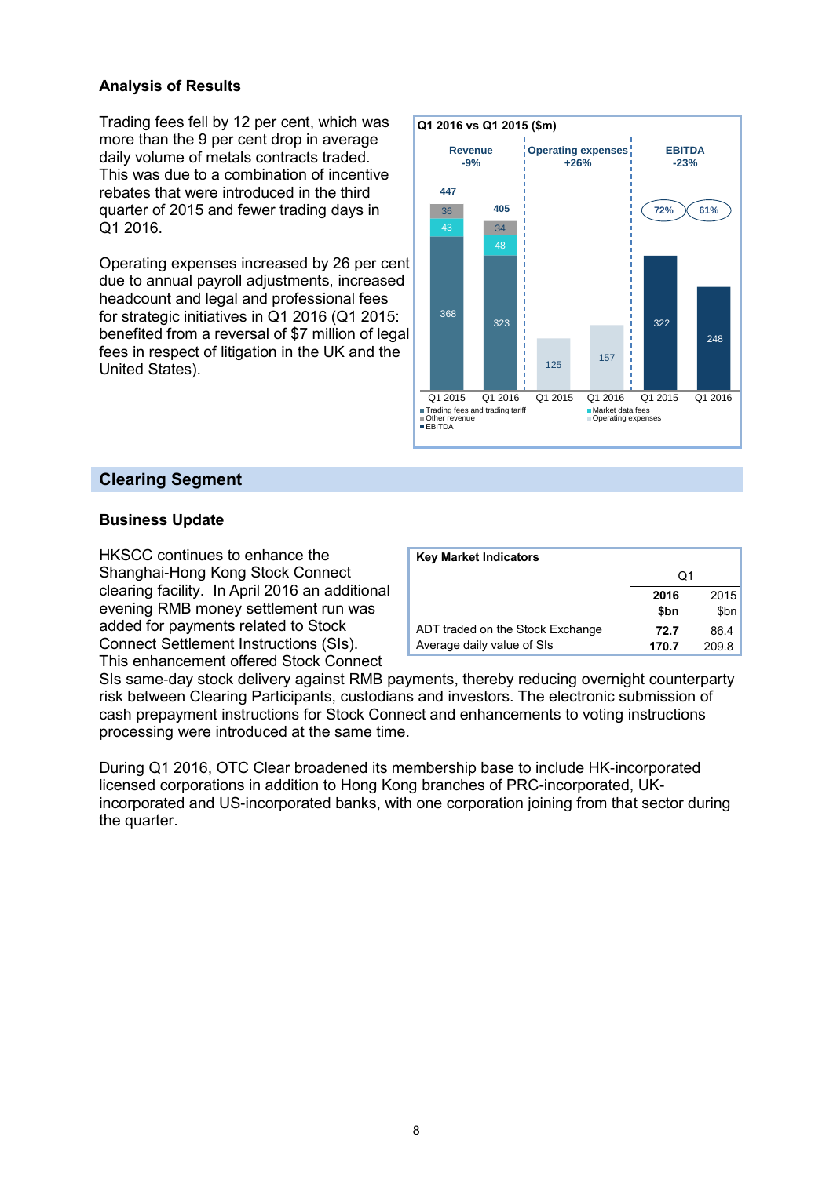#### **Analysis of Results**

Trading fees fell by 12 per cent, which was more than the 9 per cent drop in average daily volume of metals contracts traded. This was due to a combination of incentive rebates that were introduced in the third quarter of 2015 and fewer trading days in Q1 2016.

Operating expenses increased by 26 per cent due to annual payroll adjustments, increased headcount and legal and professional fees for strategic initiatives in Q1 2016 (Q1 2015: benefited from a reversal of \$7 million of legal fees in respect of litigation in the UK and the United States).



### **Clearing Segment**

#### **Business Update**

HKSCC continues to enhance the Shanghai-Hong Kong Stock Connect clearing facility. In April 2016 an additional evening RMB money settlement run was added for payments related to Stock Connect Settlement Instructions (SIs). This enhancement offered Stock Connect

| <b>Key Market Indicators</b>     |       |       |
|----------------------------------|-------|-------|
|                                  | O1    |       |
|                                  | 2016  | 2015  |
|                                  | \$bn  | \$bn  |
| ADT traded on the Stock Exchange | 72.7  | 86.4  |
| Average daily value of SIs       | 170.7 | 209.8 |

SIs same-day stock delivery against RMB payments, thereby reducing overnight counterparty risk between Clearing Participants, custodians and investors. The electronic submission of cash prepayment instructions for Stock Connect and enhancements to voting instructions processing were introduced at the same time.

During Q1 2016, OTC Clear broadened its membership base to include HK-incorporated licensed corporations in addition to Hong Kong branches of PRC-incorporated, UKincorporated and US-incorporated banks, with one corporation joining from that sector during the quarter.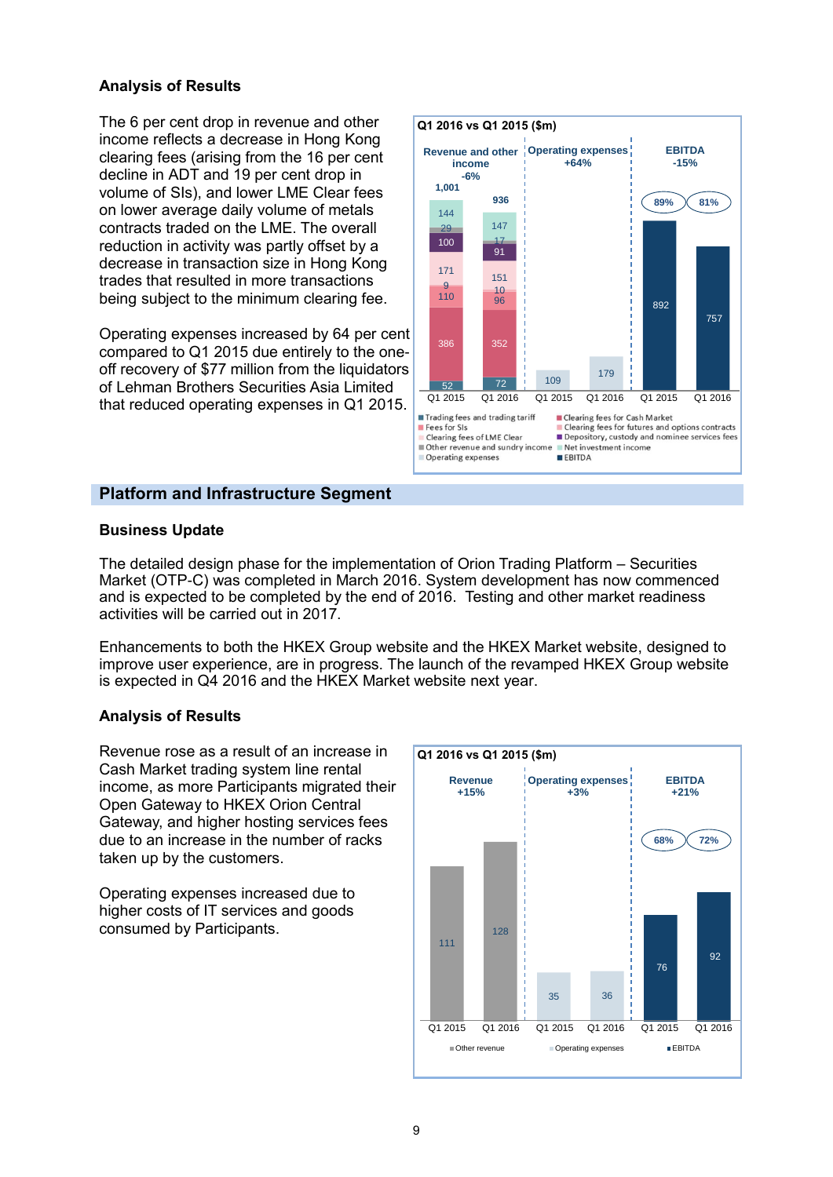#### **Analysis of Results**

The 6 per cent drop in revenue and other income reflects a decrease in Hong Kong clearing fees (arising from the 16 per cent decline in ADT and 19 per cent drop in volume of SIs), and lower LME Clear fees on lower average daily volume of metals contracts traded on the LME. The overall reduction in activity was partly offset by a decrease in transaction size in Hong Kong trades that resulted in more transactions being subject to the minimum clearing fee.

Operating expenses increased by 64 per cent compared to Q1 2015 due entirely to the oneoff recovery of \$77 million from the liquidators of Lehman Brothers Securities Asia Limited that reduced operating expenses in Q1 2015.



#### **Platform and Infrastructure Segment**

#### **Business Update**

The detailed design phase for the implementation of Orion Trading Platform – Securities Market (OTP-C) was completed in March 2016. System development has now commenced and is expected to be completed by the end of 2016. Testing and other market readiness activities will be carried out in 2017.

Enhancements to both the HKEX Group website and the HKEX Market website, designed to improve user experience, are in progress. The launch of the revamped HKEX Group website is expected in Q4 2016 and the HKEX Market website next year.

#### **Analysis of Results**

Revenue rose as a result of an increase in Cash Market trading system line rental income, as more Participants migrated their Open Gateway to HKEX Orion Central Gateway, and higher hosting services fees due to an increase in the number of racks taken up by the customers.

Operating expenses increased due to higher costs of IT services and goods consumed by Participants.

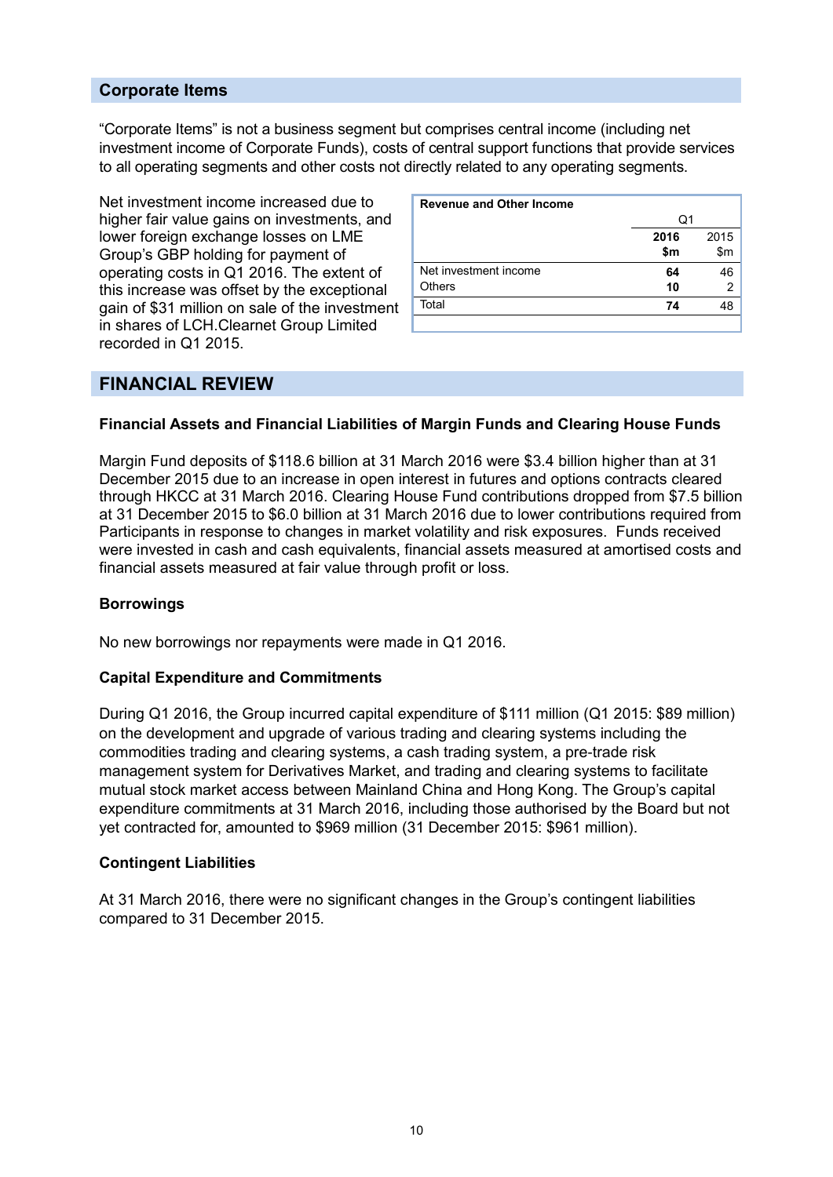#### **Corporate Items**

"Corporate Items" is not a business segment but comprises central income (including net investment income of Corporate Funds), costs of central support functions that provide services to all operating segments and other costs not directly related to any operating segments.

Net investment income increased due to higher fair value gains on investments, and lower foreign exchange losses on LME Group's GBP holding for payment of operating costs in Q1 2016. The extent of this increase was offset by the exceptional gain of \$31 million on sale of the investment in shares of LCH.Clearnet Group Limited recorded in Q1 2015.

| <b>Revenue and Other Income</b> |      |      |
|---------------------------------|------|------|
|                                 | Q1   |      |
|                                 | 2016 | 2015 |
|                                 | \$m  | \$m  |
| Net investment income           | 64   | 46   |
| <b>Others</b>                   | 10   | 2    |
| Total                           | 74   | 48   |
|                                 |      |      |

### **FINANCIAL REVIEW**

#### **Financial Assets and Financial Liabilities of Margin Funds and Clearing House Funds**

Margin Fund deposits of \$118.6 billion at 31 March 2016 were \$3.4 billion higher than at 31 December 2015 due to an increase in open interest in futures and options contracts cleared through HKCC at 31 March 2016. Clearing House Fund contributions dropped from \$7.5 billion at 31 December 2015 to \$6.0 billion at 31 March 2016 due to lower contributions required from Participants in response to changes in market volatility and risk exposures. Funds received were invested in cash and cash equivalents, financial assets measured at amortised costs and financial assets measured at fair value through profit or loss.

#### **Borrowings**

No new borrowings nor repayments were made in Q1 2016.

#### **Capital Expenditure and Commitments**

During Q1 2016, the Group incurred capital expenditure of \$111 million (Q1 2015: \$89 million) on the development and upgrade of various trading and clearing systems including the commodities trading and clearing systems, a cash trading system, a pre-trade risk management system for Derivatives Market, and trading and clearing systems to facilitate mutual stock market access between Mainland China and Hong Kong. The Group's capital expenditure commitments at 31 March 2016, including those authorised by the Board but not yet contracted for, amounted to \$969 million (31 December 2015: \$961 million).

#### **Contingent Liabilities**

At 31 March 2016, there were no significant changes in the Group's contingent liabilities compared to 31 December 2015.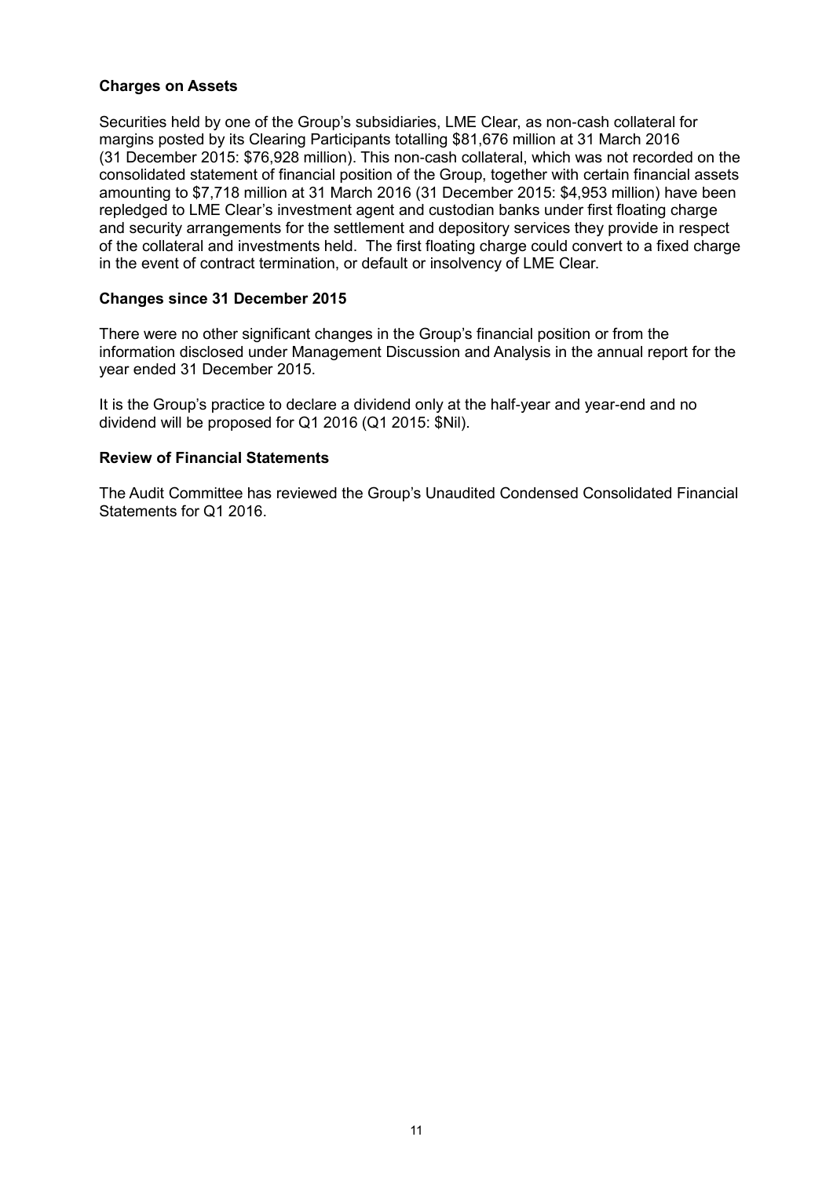#### **Charges on Assets**

Securities held by one of the Group's subsidiaries, LME Clear, as non-cash collateral for margins posted by its Clearing Participants totalling \$81,676 million at 31 March 2016 (31 December 2015: \$76,928 million). This non-cash collateral, which was not recorded on the consolidated statement of financial position of the Group, together with certain financial assets amounting to \$7,718 million at 31 March 2016 (31 December 2015: \$4,953 million) have been repledged to LME Clear's investment agent and custodian banks under first floating charge and security arrangements for the settlement and depository services they provide in respect of the collateral and investments held. The first floating charge could convert to a fixed charge in the event of contract termination, or default or insolvency of LME Clear.

#### **Changes since 31 December 2015**

There were no other significant changes in the Group's financial position or from the information disclosed under Management Discussion and Analysis in the annual report for the year ended 31 December 2015.

It is the Group's practice to declare a dividend only at the half-year and year-end and no dividend will be proposed for Q1 2016 (Q1 2015: \$Nil).

#### **Review of Financial Statements**

The Audit Committee has reviewed the Group's Unaudited Condensed Consolidated Financial Statements for Q1 2016.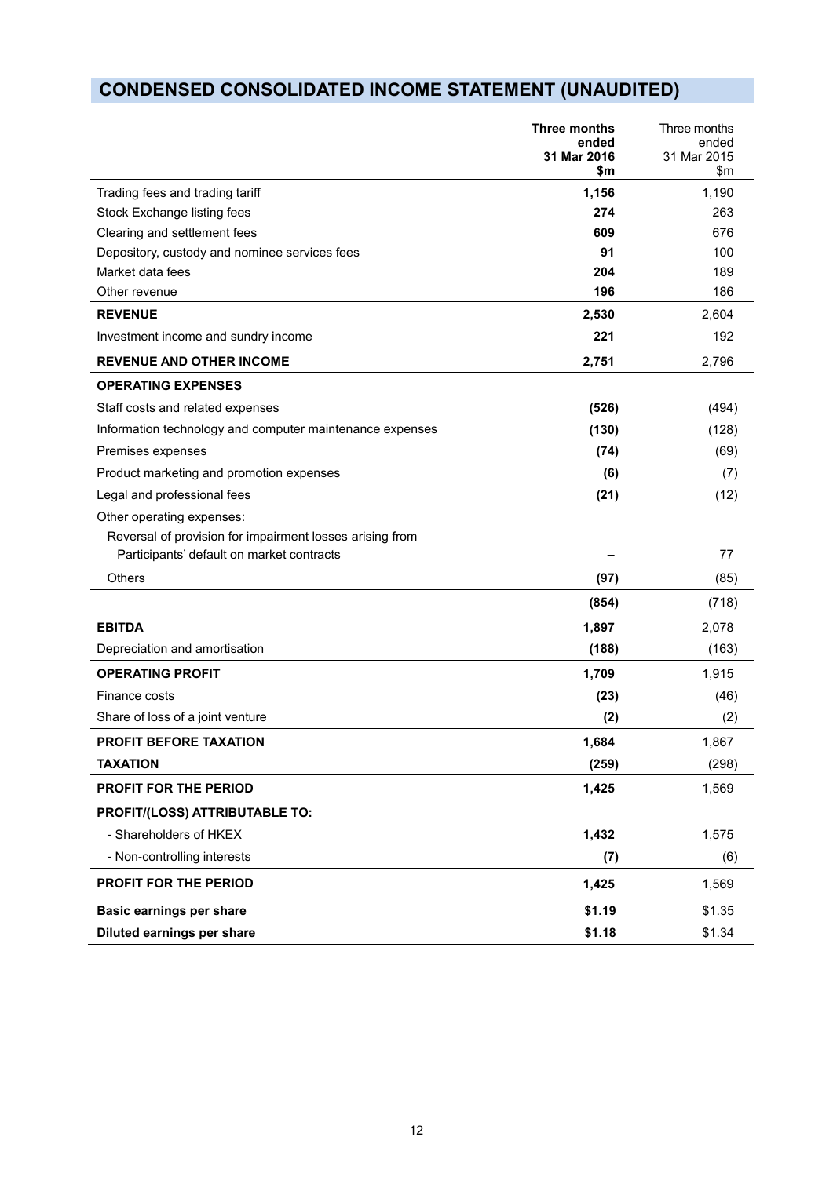# **CONDENSED CONSOLIDATED INCOME STATEMENT (UNAUDITED)**

|                                                          | Three months<br>ended<br>31 Mar 2016<br>\$m | Three months<br>ended<br>31 Mar 2015<br>\$m |
|----------------------------------------------------------|---------------------------------------------|---------------------------------------------|
| Trading fees and trading tariff                          | 1,156                                       | 1,190                                       |
| Stock Exchange listing fees                              | 274                                         | 263                                         |
| Clearing and settlement fees                             | 609                                         | 676                                         |
| Depository, custody and nominee services fees            | 91                                          | 100                                         |
| Market data fees                                         | 204                                         | 189                                         |
| Other revenue                                            | 196                                         | 186                                         |
| <b>REVENUE</b>                                           | 2,530                                       | 2,604                                       |
| Investment income and sundry income                      | 221                                         | 192                                         |
| <b>REVENUE AND OTHER INCOME</b>                          | 2,751                                       | 2,796                                       |
| <b>OPERATING EXPENSES</b>                                |                                             |                                             |
| Staff costs and related expenses                         | (526)                                       | (494)                                       |
| Information technology and computer maintenance expenses | (130)                                       | (128)                                       |
| Premises expenses                                        | (74)                                        | (69)                                        |
| Product marketing and promotion expenses                 | (6)                                         | (7)                                         |
| Legal and professional fees                              | (21)                                        | (12)                                        |
| Other operating expenses:                                |                                             |                                             |
| Reversal of provision for impairment losses arising from |                                             |                                             |
| Participants' default on market contracts                |                                             | 77                                          |
| Others                                                   | (97)                                        | (85)                                        |
|                                                          | (854)                                       | (718)                                       |
| <b>EBITDA</b>                                            | 1,897                                       | 2,078                                       |
| Depreciation and amortisation                            | (188)                                       | (163)                                       |
| <b>OPERATING PROFIT</b>                                  | 1,709                                       | 1,915                                       |
| Finance costs                                            | (23)                                        | (46)                                        |
| Share of loss of a joint venture                         | (2)                                         | (2)                                         |
| PROFIT BEFORE TAXATION                                   | 1,684                                       | 1,867                                       |
| <b>TAXATION</b>                                          | (259)                                       | (298)                                       |
| PROFIT FOR THE PERIOD                                    | 1,425                                       | 1,569                                       |
| PROFIT/(LOSS) ATTRIBUTABLE TO:                           |                                             |                                             |
| - Shareholders of HKEX                                   | 1,432                                       | 1,575                                       |
| - Non-controlling interests                              | (7)                                         | (6)                                         |
| PROFIT FOR THE PERIOD                                    | 1,425                                       | 1,569                                       |
| Basic earnings per share                                 | \$1.19                                      | \$1.35                                      |
| Diluted earnings per share                               | \$1.18                                      | \$1.34                                      |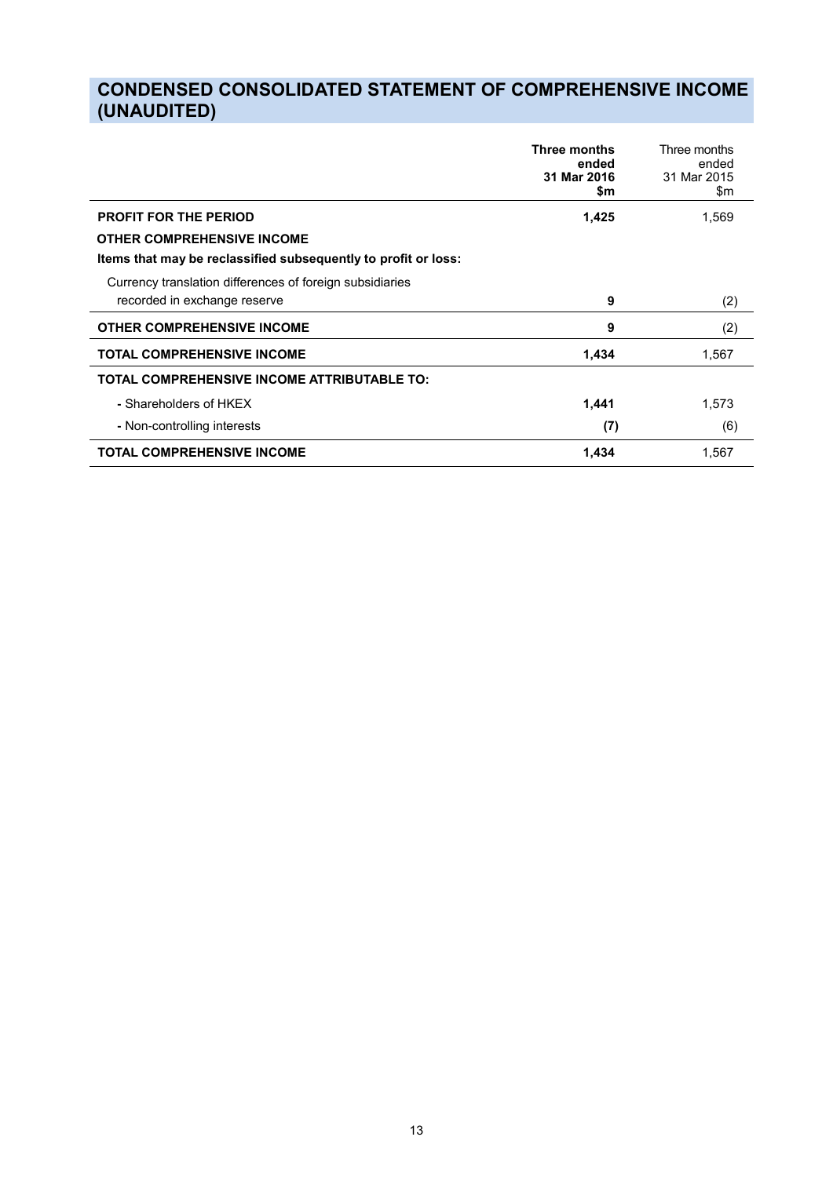# **CONDENSED CONSOLIDATED STATEMENT OF COMPREHENSIVE INCOME (UNAUDITED)**

|                                                                | <b>Three months</b><br>ended<br>31 Mar 2016<br>\$m | Three months<br>ended<br>31 Mar 2015<br>\$m |
|----------------------------------------------------------------|----------------------------------------------------|---------------------------------------------|
| <b>PROFIT FOR THE PERIOD</b>                                   | 1,425                                              | 1,569                                       |
| <b>OTHER COMPREHENSIVE INCOME</b>                              |                                                    |                                             |
| Items that may be reclassified subsequently to profit or loss: |                                                    |                                             |
| Currency translation differences of foreign subsidiaries       |                                                    |                                             |
| recorded in exchange reserve                                   | 9                                                  | (2)                                         |
| <b>OTHER COMPREHENSIVE INCOME</b>                              | 9                                                  | (2)                                         |
| <b>TOTAL COMPREHENSIVE INCOME</b>                              | 1,434                                              | 1,567                                       |
| <b>TOTAL COMPREHENSIVE INCOME ATTRIBUTABLE TO:</b>             |                                                    |                                             |
| - Shareholders of HKEX                                         | 1,441                                              | 1,573                                       |
| - Non-controlling interests                                    | (7)                                                | (6)                                         |
| <b>TOTAL COMPREHENSIVE INCOME</b>                              | 1,434                                              | 1,567                                       |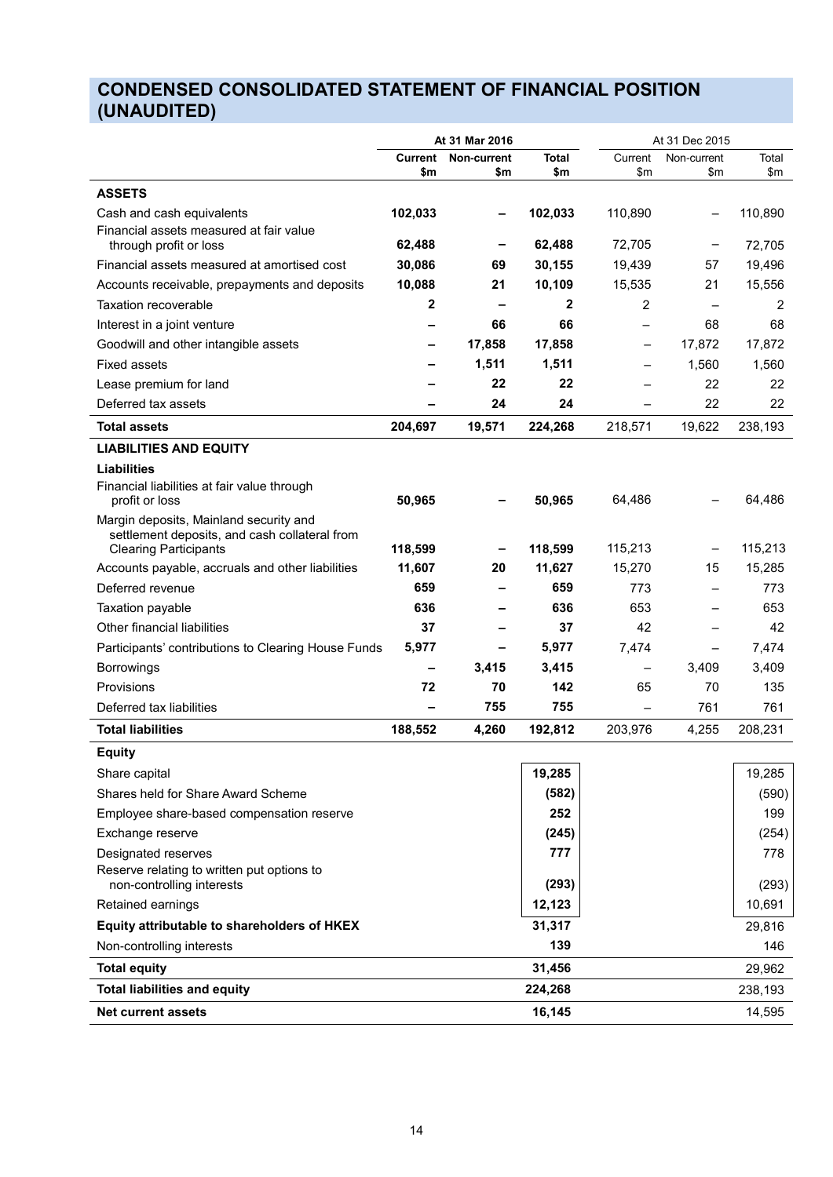## **CONDENSED CONSOLIDATED STATEMENT OF FINANCIAL POSITION (UNAUDITED)**

|                                                                               | At 31 Mar 2016 |             |              | At 31 Dec 2015           |             |         |
|-------------------------------------------------------------------------------|----------------|-------------|--------------|--------------------------|-------------|---------|
|                                                                               | <b>Current</b> | Non-current | <b>Total</b> | Current                  | Non-current | Total   |
|                                                                               | \$m            | \$m         | \$m          | \$m                      | \$m         | \$m     |
| <b>ASSETS</b>                                                                 |                |             |              |                          |             |         |
| Cash and cash equivalents<br>Financial assets measured at fair value          | 102,033        |             | 102,033      | 110,890                  |             | 110,890 |
| through profit or loss                                                        | 62,488         |             | 62,488       | 72,705                   |             | 72,705  |
| Financial assets measured at amortised cost                                   | 30,086         | 69          | 30,155       | 19,439                   | 57          | 19,496  |
| Accounts receivable, prepayments and deposits                                 | 10,088         | 21          | 10,109       | 15,535                   | 21          | 15,556  |
| Taxation recoverable                                                          | 2              |             | $\mathbf{2}$ | $\overline{2}$           |             | 2       |
| Interest in a joint venture                                                   |                | 66          | 66           |                          | 68          | 68      |
| Goodwill and other intangible assets                                          |                | 17,858      | 17,858       | -                        | 17,872      | 17,872  |
| <b>Fixed assets</b>                                                           |                | 1,511       | 1,511        |                          | 1,560       | 1,560   |
| Lease premium for land                                                        |                | 22          | 22           |                          | 22          | 22      |
| Deferred tax assets                                                           |                | 24          | 24           | $\overline{\phantom{0}}$ | 22          | 22      |
| <b>Total assets</b>                                                           | 204,697        | 19,571      | 224,268      | 218,571                  | 19,622      | 238,193 |
| <b>LIABILITIES AND EQUITY</b>                                                 |                |             |              |                          |             |         |
| <b>Liabilities</b>                                                            |                |             |              |                          |             |         |
| Financial liabilities at fair value through<br>profit or loss                 | 50,965         |             | 50,965       | 64,486                   |             | 64,486  |
| Margin deposits, Mainland security and                                        |                |             |              |                          |             |         |
| settlement deposits, and cash collateral from<br><b>Clearing Participants</b> | 118,599        |             | 118,599      | 115,213                  |             | 115,213 |
| Accounts payable, accruals and other liabilities                              | 11,607         | 20          | 11,627       | 15,270                   | 15          | 15,285  |
| Deferred revenue                                                              | 659            |             | 659          | 773                      |             | 773     |
| Taxation payable                                                              | 636            |             | 636          | 653                      |             | 653     |
| Other financial liabilities                                                   | 37             |             | 37           | 42                       |             | 42      |
| Participants' contributions to Clearing House Funds                           | 5,977          |             | 5,977        | 7,474                    | —           | 7,474   |
| <b>Borrowings</b>                                                             | -              | 3,415       | 3,415        | $\qquad \qquad -$        | 3,409       | 3,409   |
| Provisions                                                                    | 72             | 70          | 142          | 65                       | 70          | 135     |
| Deferred tax liabilities                                                      |                | 755         | 755          |                          | 761         | 761     |
| <b>Total liabilities</b>                                                      | 188,552        | 4,260       | 192,812      | 203,976                  | 4,255       | 208,231 |
| <b>Equity</b>                                                                 |                |             |              |                          |             |         |
| Share capital                                                                 |                |             | 19,285       |                          |             | 19,285  |
| Shares held for Share Award Scheme                                            |                |             | (582)        |                          |             | (590)   |
| Employee share-based compensation reserve                                     |                |             | 252          |                          |             | 199     |
| Exchange reserve                                                              |                |             | (245)        |                          |             | (254)   |
| Designated reserves                                                           |                |             | 777          |                          |             | 778     |
| Reserve relating to written put options to<br>non-controlling interests       |                |             | (293)        |                          |             | (293)   |
| Retained earnings                                                             |                |             | 12,123       |                          |             | 10,691  |
| Equity attributable to shareholders of HKEX                                   |                |             | 31,317       |                          |             | 29,816  |
| Non-controlling interests                                                     |                |             | 139          |                          |             | 146     |
| <b>Total equity</b>                                                           |                |             | 31,456       |                          |             | 29,962  |
| <b>Total liabilities and equity</b>                                           |                |             | 224,268      |                          |             | 238,193 |
| <b>Net current assets</b>                                                     |                |             | 16,145       |                          |             | 14,595  |
|                                                                               |                |             |              |                          |             |         |